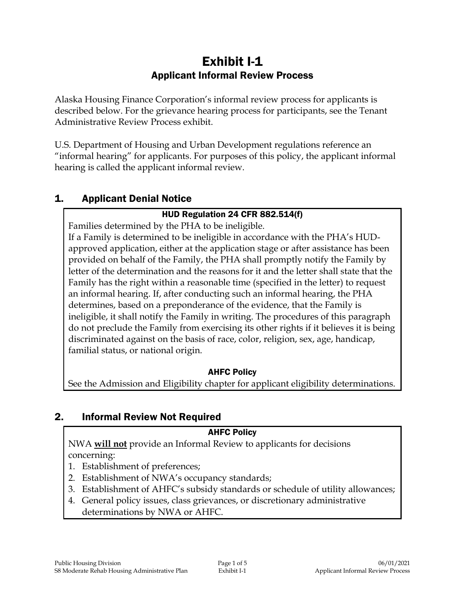# Exhibit I-1 Applicant Informal Review Process

Alaska Housing Finance Corporation's informal review process for applicants is described below. For the grievance hearing process for participants, see the Tenant Administrative Review Process exhibit.

U.S. Department of Housing and Urban Development regulations reference an "informal hearing" for applicants. For purposes of this policy, the applicant informal hearing is called the applicant informal review.

# 1. Applicant Denial Notice

#### HUD Regulation 24 CFR 882.514(f)

Families determined by the PHA to be ineligible.

If a Family is determined to be ineligible in accordance with the PHA's HUDapproved application, either at the application stage or after assistance has been provided on behalf of the Family, the PHA shall promptly notify the Family by letter of the determination and the reasons for it and the letter shall state that the Family has the right within a reasonable time (specified in the letter) to request an informal hearing. If, after conducting such an informal hearing, the PHA determines, based on a preponderance of the evidence, that the Family is ineligible, it shall notify the Family in writing. The procedures of this paragraph do not preclude the Family from exercising its other rights if it believes it is being discriminated against on the basis of race, color, religion, sex, age, handicap, familial status, or national origin.

# AHFC Policy

See the Admission and Eligibility chapter for applicant eligibility determinations.

# 2. Informal Review Not Required

#### AHFC Policy

NWA **will not** provide an Informal Review to applicants for decisions concerning:

- 1. Establishment of preferences;
- 2. Establishment of NWA's occupancy standards;
- 3. Establishment of AHFC's subsidy standards or schedule of utility allowances;
- 4. General policy issues, class grievances, or discretionary administrative determinations by NWA or AHFC.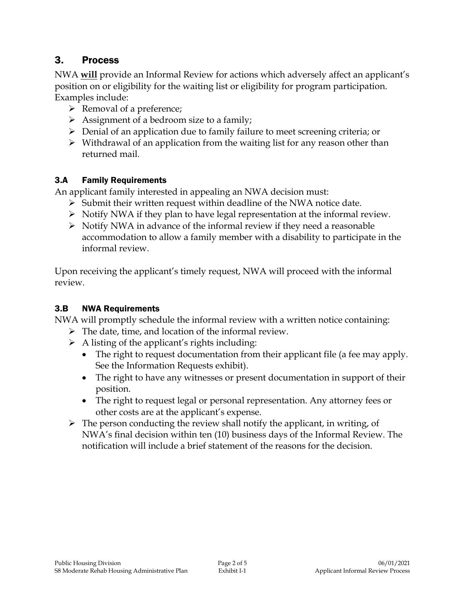# 3. Process

NWA **will** provide an Informal Review for actions which adversely affect an applicant's position on or eligibility for the waiting list or eligibility for program participation. Examples include:

- $\triangleright$  Removal of a preference;
- $\triangleright$  Assignment of a bedroom size to a family;
- Denial of an application due to family failure to meet screening criteria; or
- $\triangleright$  Withdrawal of an application from the waiting list for any reason other than returned mail.

# 3.A Family Requirements

An applicant family interested in appealing an NWA decision must:

- $\triangleright$  Submit their written request within deadline of the NWA notice date.
- $\triangleright$  Notify NWA if they plan to have legal representation at the informal review.
- $\triangleright$  Notify NWA in advance of the informal review if they need a reasonable accommodation to allow a family member with a disability to participate in the informal review.

Upon receiving the applicant's timely request, NWA will proceed with the informal review.

# 3.B NWA Requirements

NWA will promptly schedule the informal review with a written notice containing:

- $\triangleright$  The date, time, and location of the informal review.
- $\triangleright$  A listing of the applicant's rights including:
	- The right to request documentation from their applicant file (a fee may apply. See the Information Requests exhibit).
	- The right to have any witnesses or present documentation in support of their position.
	- The right to request legal or personal representation. Any attorney fees or other costs are at the applicant's expense.
- $\triangleright$  The person conducting the review shall notify the applicant, in writing, of NWA's final decision within ten (10) business days of the Informal Review. The notification will include a brief statement of the reasons for the decision.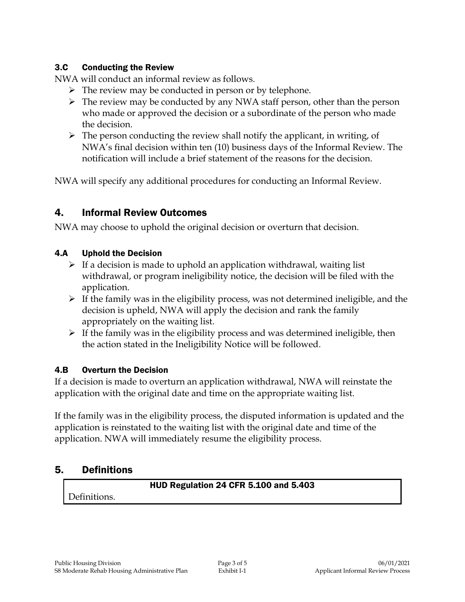#### 3.C Conducting the Review

NWA will conduct an informal review as follows.

- $\triangleright$  The review may be conducted in person or by telephone.
- $\triangleright$  The review may be conducted by any NWA staff person, other than the person who made or approved the decision or a subordinate of the person who made the decision.
- $\triangleright$  The person conducting the review shall notify the applicant, in writing, of NWA's final decision within ten (10) business days of the Informal Review. The notification will include a brief statement of the reasons for the decision.

NWA will specify any additional procedures for conducting an Informal Review.

# 4. Informal Review Outcomes

NWA may choose to uphold the original decision or overturn that decision.

### 4.A Uphold the Decision

- $\triangleright$  If a decision is made to uphold an application withdrawal, waiting list withdrawal, or program ineligibility notice, the decision will be filed with the application.
- $\triangleright$  If the family was in the eligibility process, was not determined ineligible, and the decision is upheld, NWA will apply the decision and rank the family appropriately on the waiting list.
- $\triangleright$  If the family was in the eligibility process and was determined ineligible, then the action stated in the Ineligibility Notice will be followed.

# 4.B Overturn the Decision

If a decision is made to overturn an application withdrawal, NWA will reinstate the application with the original date and time on the appropriate waiting list.

If the family was in the eligibility process, the disputed information is updated and the application is reinstated to the waiting list with the original date and time of the application. NWA will immediately resume the eligibility process.

# 5. Definitions

#### HUD Regulation 24 CFR 5.100 and 5.403

Definitions.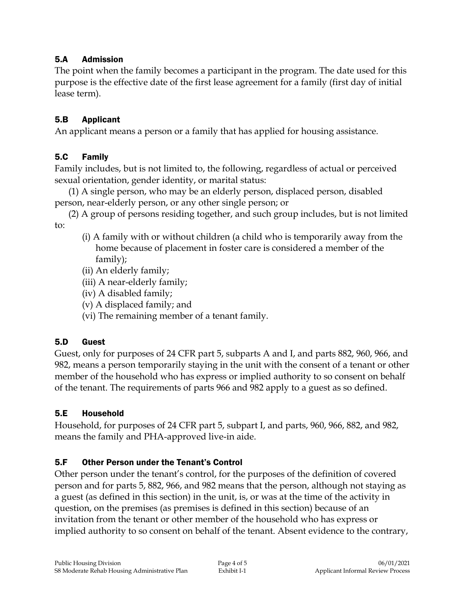### 5.A Admission

The point when the family becomes a participant in the program. The date used for this purpose is the effective date of the first lease agreement for a family (first day of initial lease term).

### 5.B Applicant

An applicant means a person or a family that has applied for housing assistance.

# 5.C Family

Family includes, but is not limited to, the following, regardless of actual or perceived sexual orientation, gender identity, or marital status:

(1) A single person, who may be an elderly person, displaced person, disabled person, near-elderly person, or any other single person; or

(2) A group of persons residing together, and such group includes, but is not limited to:

- (i) A family with or without children (a child who is temporarily away from the home because of placement in foster care is considered a member of the family);
- (ii) An elderly family;
- (iii) A near-elderly family;
- (iv) A disabled family;
- (v) A displaced family; and
- (vi) The remaining member of a tenant family.

# 5.D Guest

Guest, only for purposes of 24 CFR part 5, subparts A and I, and parts 882, 960, 966, and 982, means a person temporarily staying in the unit with the consent of a tenant or other member of the household who has express or implied authority to so consent on behalf of the tenant. The requirements of parts 966 and 982 apply to a guest as so defined.

# 5.E Household

Household, for purposes of 24 CFR part 5, subpart I, and parts, 960, 966, 882, and 982, means the family and PHA-approved live-in aide.

# 5.F Other Person under the Tenant's Control

Other person under the tenant's control, for the purposes of the definition of covered person and for parts 5, 882, 966, and 982 means that the person, although not staying as a guest (as defined in this section) in the unit, is, or was at the time of the activity in question, on the premises (as premises is defined in this section) because of an invitation from the tenant or other member of the household who has express or implied authority to so consent on behalf of the tenant. Absent evidence to the contrary,